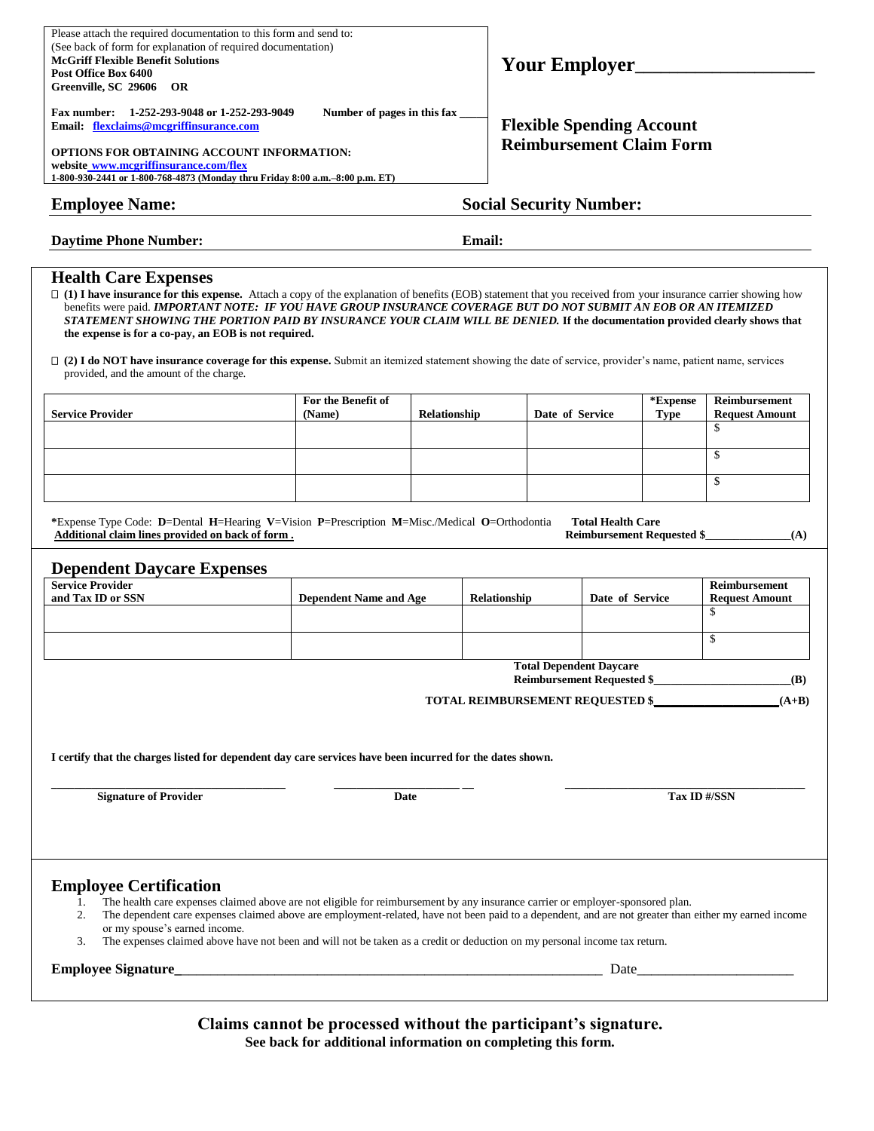| Please attach the required documentation to this form and send to:<br>(See back of form for explanation of required documentation)<br><b>McGriff Flexible Benefit Solutions</b><br>Post Office Box 6400<br>Greenville, SC 29606 OR<br>Number of pages in this fax<br>Fax number: 1-252-293-9048 or 1-252-293-9049<br>Email: flexclaims@mcgriffinsurance.com<br>OPTIONS FOR OBTAINING ACCOUNT INFORMATION:<br>website www.mcgriffinsurance.com/flex<br>1-800-930-2441 or 1-800-768-4873 (Monday thru Friday 8:00 a.m.-8:00 p.m. ET)                                                                                                                                                                                      |                                |              |                                  | Your Employer<br><b>Flexible Spending Account</b><br><b>Reimbursement Claim Form</b> |                          |                                    |                                                     |  |  |  |
|-------------------------------------------------------------------------------------------------------------------------------------------------------------------------------------------------------------------------------------------------------------------------------------------------------------------------------------------------------------------------------------------------------------------------------------------------------------------------------------------------------------------------------------------------------------------------------------------------------------------------------------------------------------------------------------------------------------------------|--------------------------------|--------------|----------------------------------|--------------------------------------------------------------------------------------|--------------------------|------------------------------------|-----------------------------------------------------|--|--|--|
| <b>Employee Name:</b>                                                                                                                                                                                                                                                                                                                                                                                                                                                                                                                                                                                                                                                                                                   | <b>Social Security Number:</b> |              |                                  |                                                                                      |                          |                                    |                                                     |  |  |  |
| <b>Daytime Phone Number:</b>                                                                                                                                                                                                                                                                                                                                                                                                                                                                                                                                                                                                                                                                                            | <b>Email:</b>                  |              |                                  |                                                                                      |                          |                                    |                                                     |  |  |  |
| <b>Health Care Expenses</b><br>□ (1) I have insurance for this expense. Attach a copy of the explanation of benefits (EOB) statement that you received from your insurance carrier showing how<br>benefits were paid. IMPORTANT NOTE: IF YOU HAVE GROUP INSURANCE COVERAGE BUT DO NOT SUBMIT AN EOB OR AN ITEMIZED<br>STATEMENT SHOWING THE PORTION PAID BY INSURANCE YOUR CLAIM WILL BE DENIED. If the documentation provided clearly shows that<br>the expense is for a co-pay, an EOB is not required.<br>$\Box$ (2) I do NOT have insurance coverage for this expense. Submit an itemized statement showing the date of service, provider's name, patient name, services<br>provided, and the amount of the charge. |                                |              |                                  |                                                                                      |                          |                                    |                                                     |  |  |  |
| <b>Service Provider</b>                                                                                                                                                                                                                                                                                                                                                                                                                                                                                                                                                                                                                                                                                                 | For the Benefit of<br>(Name)   | Relationship |                                  | Date of Service                                                                      |                          | *Expense<br><b>Type</b>            | <b>Reimbursement</b><br><b>Request Amount</b><br>\$ |  |  |  |
|                                                                                                                                                                                                                                                                                                                                                                                                                                                                                                                                                                                                                                                                                                                         |                                |              |                                  |                                                                                      |                          |                                    | $\mathbb{S}$                                        |  |  |  |
|                                                                                                                                                                                                                                                                                                                                                                                                                                                                                                                                                                                                                                                                                                                         |                                |              |                                  |                                                                                      |                          |                                    | $\mathbb{S}$                                        |  |  |  |
|                                                                                                                                                                                                                                                                                                                                                                                                                                                                                                                                                                                                                                                                                                                         |                                |              |                                  |                                                                                      |                          |                                    |                                                     |  |  |  |
| *Expense Type Code: D=Dental H=Hearing V=Vision P=Prescription M=Misc./Medical O=Orthodontia<br>Additional claim lines provided on back of form.<br><b>Dependent Daycare Expenses</b>                                                                                                                                                                                                                                                                                                                                                                                                                                                                                                                                   |                                |              |                                  |                                                                                      | <b>Total Health Care</b> | <b>Reimbursement Requested \$_</b> | (A)                                                 |  |  |  |
| <b>Service Provider</b><br>and Tax ID or SSN                                                                                                                                                                                                                                                                                                                                                                                                                                                                                                                                                                                                                                                                            | <b>Dependent Name and Age</b>  |              | Relationship                     |                                                                                      | Date of Service          |                                    | Reimbursement<br><b>Request Amount</b><br>\$        |  |  |  |
|                                                                                                                                                                                                                                                                                                                                                                                                                                                                                                                                                                                                                                                                                                                         |                                |              |                                  |                                                                                      |                          |                                    | \$                                                  |  |  |  |
|                                                                                                                                                                                                                                                                                                                                                                                                                                                                                                                                                                                                                                                                                                                         |                                |              |                                  | <b>Total Dependent Daycare</b>                                                       |                          |                                    |                                                     |  |  |  |
|                                                                                                                                                                                                                                                                                                                                                                                                                                                                                                                                                                                                                                                                                                                         |                                |              | TOTAL REIMBURSEMENT REQUESTED \$ |                                                                                      |                          |                                    | Reimbursement Requested \$<br><b>(B)</b><br>$(A+B)$ |  |  |  |
| I certify that the charges listed for dependent day care services have been incurred for the dates shown.                                                                                                                                                                                                                                                                                                                                                                                                                                                                                                                                                                                                               |                                |              |                                  |                                                                                      |                          |                                    |                                                     |  |  |  |
| <b>Signature of Provider</b>                                                                                                                                                                                                                                                                                                                                                                                                                                                                                                                                                                                                                                                                                            |                                | Date         |                                  |                                                                                      |                          | Tax ID #/SSN                       |                                                     |  |  |  |
| <b>Employee Certification</b><br>The health care expenses claimed above are not eligible for reimbursement by any insurance carrier or employer-sponsored plan.<br>1.<br>The dependent care expenses claimed above are employment-related, have not been paid to a dependent, and are not greater than either my earned income<br>2.<br>or my spouse's earned income.<br>The expenses claimed above have not been and will not be taken as a credit or deduction on my personal income tax return.<br>3.                                                                                                                                                                                                                |                                |              |                                  |                                                                                      |                          |                                    |                                                     |  |  |  |

**Claims cannot be processed without the participant's signature. See back for additional information on completing this form.**